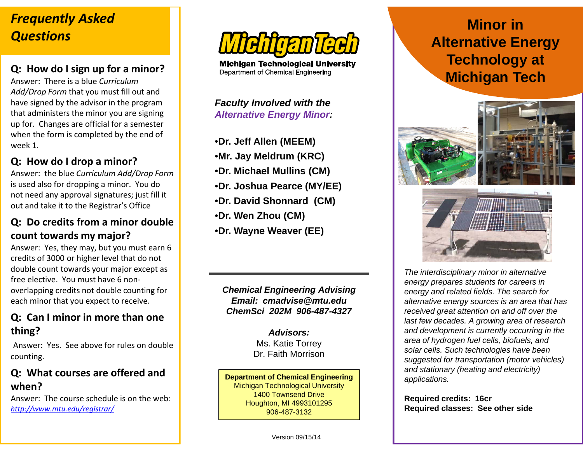## *Frequently Asked Questions*

## **Q: How do I sign up for a minor?**

Answer: There is <sup>a</sup> blue *CurriculumAdd/Drop Form* that you must fill out and have signed by the advisor in the program that administers the minor you are signing up for. Changes are official for <sup>a</sup> semester when the form is completed by the end of week 1.

## **Q: How do I drop a minor?**

Answer: the blue *Curriculum Add/Drop Form* is used also for dropping <sup>a</sup> minor. You do not need any approval signatures; just fill it out and take it to the Registrar's Office

#### **Q: Do credits from a minor doublecount towards my major?**

Answer: Yes, they may, but you must earn 6 credits of 3000 or higher level that do not double count towards your major except as free elective. You must have 6 non‐ overlapping credits not double counting for each minor that you expect to receive.

#### **Q: Can I minor in more than one thing?**

Answer: Yes. See above for rules on double counting.

### **Q: What courses are offered and when?**

Answer: The course schedule is on the web: *http://www.mtu.edu/registrar/*



**Michigan Technological University** Department of Chemical Engineering

*Faculty Involved with the Alternative Energy Minor:*

- •**Dr. Jeff Allen (MEEM)**
- •**Mr. Jay Meldrum (KRC)**
- •**Dr. Michael Mullins (CM)**
- •**Dr. Joshua Pearce (MY/EE)**
- •**Dr. David Shonnard (CM)**
- •**Dr. Wen Zhou (CM)**
- •**Dr. Wayne Weaver (EE)**

*Chemical Engineering Advising Email: cmadvise@mtu.edu ChemSci 202M 906-487-4327*

> *Advisors:*Ms. Katie Torrey Dr. Faith Morrison

**Department of Chemical Engineering** Michigan Technological University 1400 Townsend DriveHoughton, MI 4993101295 906-487-3132

# **Minor in Alternative Energy Technology at Michigan Tech**





*The interdisciplinary minor in alternative energy prepares students for careers in energy and related fields. The search for alternative energy sources is an area that has received great attention on and off over the last few decades. A growing area of research and development is currently occurring in the area of hydrogen fuel cells, biofuels, and solar cells. Such technologies have been suggested for transportation (motor vehicles) and stationary (heating and electricity) applications.*

**Required credits: 16cr Required classes: See other side**

Version 09/15/14